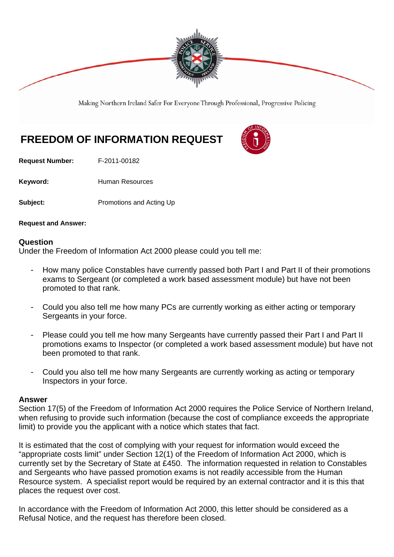

Making Northern Ireland Safer For Everyone Through Professional, Progressive Policing

## **FREEDOM OF INFORMATION REQUEST**



**Request Number:** F-2011-00182

Keyword: **Human Resources** 

**Subject:** Promotions and Acting Up

**Request and Answer:** 

## **Question**

Under the Freedom of Information Act 2000 please could you tell me:

- How many police Constables have currently passed both Part I and Part II of their promotions exams to Sergeant (or completed a work based assessment module) but have not been promoted to that rank.
- Could you also tell me how many PCs are currently working as either acting or temporary Sergeants in your force.
- Please could you tell me how many Sergeants have currently passed their Part I and Part II promotions exams to Inspector (or completed a work based assessment module) but have not been promoted to that rank.
- Could you also tell me how many Sergeants are currently working as acting or temporary Inspectors in your force.

## **Answer**

Section 17(5) of the Freedom of Information Act 2000 requires the Police Service of Northern Ireland, when refusing to provide such information (because the cost of compliance exceeds the appropriate limit) to provide you the applicant with a notice which states that fact.

It is estimated that the cost of complying with your request for information would exceed the "appropriate costs limit" under Section 12(1) of the Freedom of Information Act 2000, which is currently set by the Secretary of State at £450. The information requested in relation to Constables and Sergeants who have passed promotion exams is not readily accessible from the Human Resource system. A specialist report would be required by an external contractor and it is this that places the request over cost.

In accordance with the Freedom of Information Act 2000, this letter should be considered as a Refusal Notice, and the request has therefore been closed.